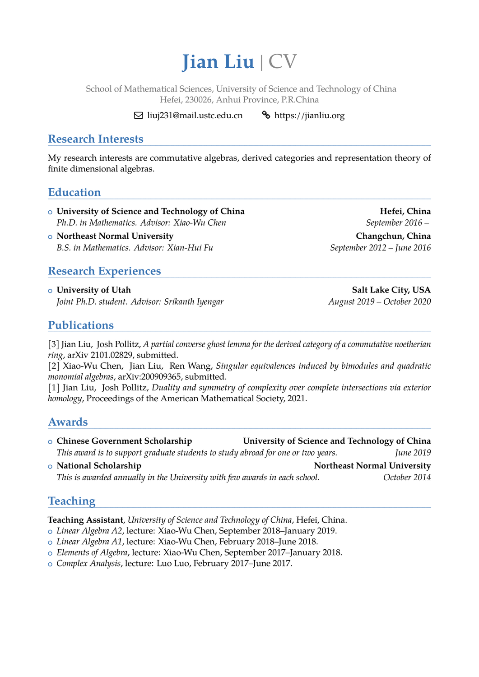# **Jian Liu** | CV

School of Mathematical Sciences, University of Science and Technology of China Hefei, 230026, Anhui Province, P.R.China

 $\boxtimes$  liuj231@mail.ustc.edu.cn  $\bullet$  https://jianliu.org

## **Research Interests**

My research interests are commutative algebras, derived categories and representation theory of finite dimensional algebras.

#### **Education**

- o University of Science and Technology of China **Hefei**, China Hefei, China *Ph.D. in Mathematics. Advisor: Xiao-Wu Chen* September 2016 –
- <sup>+</sup> **Northeast Normal University Changchun, China** *B.S. in Mathematics. Advisor: Xian-Hui Fu September 2012 – June 2016*

#### **Research Experiences**

<sup>+</sup> **University of Utah Salt Lake City, USA** *Joint Ph.D. student. Advisor: Srikanth Iyengar August 2019 – October 2020* 

**Publications**

[3] Jian Liu, Josh Pollitz, *A partial converse ghost lemma for the derived category of a commutative noetherian ring*, arXiv 2101.02829, submitted.

[2] Xiao-Wu Chen, Jian Liu, Ren Wang, *Singular equivalences induced by bimodules and quadratic monomial algebras*, arXiv:200909365, submitted.

[1] Jian Liu, Josh Pollitz, *Duality and symmetry of complexity over complete intersections via exterior homology*, Proceedings of the American Mathematical Society, 2021.

## **Awards**

- <sup>+</sup> **Chinese Government Scholarship University of Science and Technology of China** *This award is to support graduate students to study abroad for one or two years. June 2019*
- $\circ$  **National Scholarship Northeast Normal University** *This is awarded annually in the University with few awards in each school. October 2014*

## **Teaching**

**Teaching Assistant**, *University of Science and Technology of China*, Hefei, China.

- <sup>+</sup> *Linear Algebra A2*, lecture: Xiao-Wu Chen, September 2018–January 2019.
- <sup>+</sup> *Linear Algebra A1*, lecture: Xiao-Wu Chen, February 2018–June 2018.
- <sup>+</sup> *Elements of Algebra*, lecture: Xiao-Wu Chen, September 2017–January 2018.
- <sup>+</sup> *Complex Analysis*, lecture: Luo Luo, February 2017–June 2017.